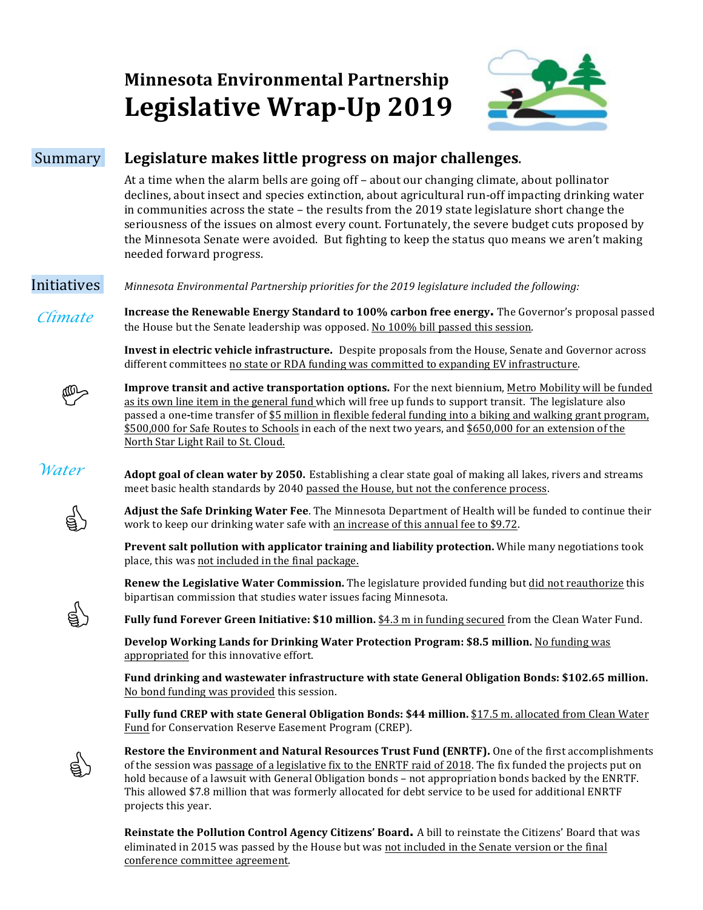# **Minnesota Environmental Partnership** Legislative Wrap-Up 2019



## Summary **Legislature makes little progress on major challenges**.

At a time when the alarm bells are going off – about our changing climate, about pollinator declines, about insect and species extinction, about agricultural run-off impacting drinking water in communities across the state  $-$  the results from the 2019 state legislature short change the seriousness of the issues on almost every count. Fortunately, the severe budget cuts proposed by the Minnesota Senate were avoided. But fighting to keep the status quo means we aren't making needed forward progress.

**Initiatives** *Minnesota Environmental Partnership priorities for the 2019 legislature included the following:* 

 *Climate*  **Increase the Renewable Energy Standard to 100% carbon free energy.** The Governor's proposal passed the House but the Senate leadership was opposed. No 100% bill passed this session.

> **Invest in electric vehicle infrastructure.** Despite proposals from the House, Senate and Governor across different committees no state or RDA funding was committed to expanding EV infrastructure.



**Improve transit and active transportation options.** For the next biennium, Metro Mobility will be funded as its own line item in the general fund which will free up funds to support transit. The legislature also passed a one-time transfer of \$5 million in flexible federal funding into a biking and walking grant program, \$500,000 for Safe Routes to Schools in each of the next two years, and \$650,000 for an extension of the North Star Light Rail to St. Cloud.



**Adopt goal of clean water by 2050.** Establishing a clear state goal of making all lakes, rivers and streams meet basic health standards by 2040 passed the House, but not the conference process.



g)

g)

Adjust the Safe Drinking Water Fee. The Minnesota Department of Health will be funded to continue their work to keep our drinking water safe with an increase of this annual fee to \$9.72.

**Prevent salt pollution with applicator training and liability protection. While many negotiations took** place, this was not included in the final package.

**Renew the Legislative Water Commission.** The legislature provided funding but did not reauthorize this bipartisan commission that studies water issues facing Minnesota.

**Fully fund Forever Green Initiative: \$10 million.** \$4.3 m in funding secured from the Clean Water Fund.

**Develop Working Lands for Drinking Water Protection Program: \$8.5 million.** No funding was appropriated for this innovative effort.

Fund drinking and wastewater infrastructure with state General Obligation Bonds: \$102.65 million. No bond funding was provided this session.

**Fully fund CREP with state General Obligation Bonds: \$44 million.** \$17.5 m. allocated from Clean Water Fund for Conservation Reserve Easement Program (CREP).

**Restore the Environment and Natural Resources Trust Fund (ENRTF). One of the first accomplishments** of the session was passage of a legislative fix to the ENRTF raid of 2018. The fix funded the projects put on hold because of a lawsuit with General Obligation bonds – not appropriation bonds backed by the ENRTF. This allowed \$7.8 million that was formerly allocated for debt service to be used for additional ENRTF projects this year.

**Reinstate the Pollution Control Agency Citizens' Board.** A bill to reinstate the Citizens' Board that was eliminated in 2015 was passed by the House but was not included in the Senate version or the final conference committee agreement.